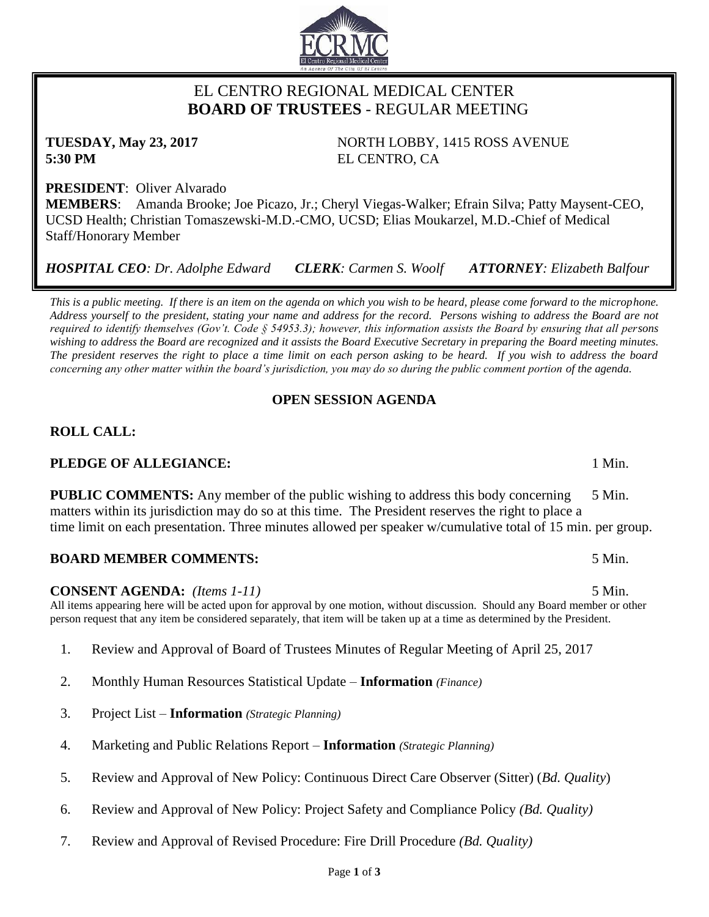## EL CENTRO REGIONAL MEDICAL CENTER  **BOARD OF TRUSTEES** - REGULAR MEETING

**TUESDAY, May 23, 2017** NORTH LOBBY, 1415 ROSS AVENUE **5:30 PM** EL CENTRO, CA

**PRESIDENT**: Oliver Alvarado **MEMBERS**: Amanda Brooke; Joe Picazo, Jr.; Cheryl Viegas-Walker; Efrain Silva; Patty Maysent-CEO, UCSD Health; Christian Tomaszewski-M.D.-CMO, UCSD; Elias Moukarzel, M.D.-Chief of Medical Staff/Honorary Member

*HOSPITAL CEO: Dr. Adolphe Edward CLERK: Carmen S. Woolf ATTORNEY: Elizabeth Balfour*

*This is a public meeting. If there is an item on the agenda on which you wish to be heard, please come forward to the microphone. Address yourself to the president, stating your name and address for the record. Persons wishing to address the Board are not required to identify themselves (Gov't. Code § 54953.3); however, this information assists the Board by ensuring that all persons wishing to address the Board are recognized and it assists the Board Executive Secretary in preparing the Board meeting minutes. The president reserves the right to place a time limit on each person asking to be heard. If you wish to address the board concerning any other matter within the board's jurisdiction, you may do so during the public comment portion of the agenda.*

## **OPEN SESSION AGENDA**

# **ROLL CALL:**

## **PLEDGE OF ALLEGIANCE:** 1 Min.

**PUBLIC COMMENTS:** Any member of the public wishing to address this body concerning 5 Min. matters within its jurisdiction may do so at this time. The President reserves the right to place a time limit on each presentation. Three minutes allowed per speaker w/cumulative total of 15 min. per group.

## **BOARD MEMBER COMMENTS:** 5 Min.

## **CONSENT AGENDA:** *(Items 1-11)* 5 Min.

All items appearing here will be acted upon for approval by one motion, without discussion. Should any Board member or other person request that any item be considered separately, that item will be taken up at a time as determined by the President.

- 1. Review and Approval of Board of Trustees Minutes of Regular Meeting of April 25, 2017
- 2. Monthly Human Resources Statistical Update **Information** *(Finance)*
- 3. Project List **Information** *(Strategic Planning)*
- 4. Marketing and Public Relations Report **Information** *(Strategic Planning)*
- 5. Review and Approval of New Policy: Continuous Direct Care Observer (Sitter) (*Bd. Quality*)
- 6. Review and Approval of New Policy: Project Safety and Compliance Policy *(Bd. Quality)*
- 7. Review and Approval of Revised Procedure: Fire Drill Procedure *(Bd. Quality)*

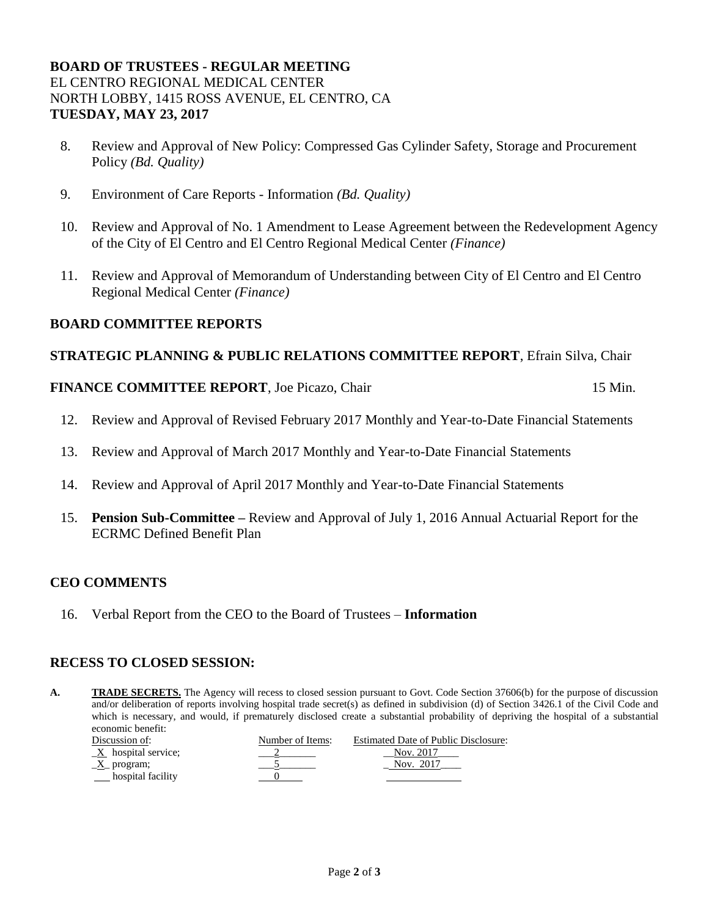#### **BOARD OF TRUSTEES - REGULAR MEETING** EL CENTRO REGIONAL MEDICAL CENTER NORTH LOBBY, 1415 ROSS AVENUE, EL CENTRO, CA **TUESDAY, MAY 23, 2017**

- 8. Review and Approval of New Policy: Compressed Gas Cylinder Safety, Storage and Procurement Policy *(Bd. Quality)*
- 9. Environment of Care Reports Information *(Bd. Quality)*
- 10. Review and Approval of No. 1 Amendment to Lease Agreement between the Redevelopment Agency of the City of El Centro and El Centro Regional Medical Center *(Finance)*
- 11. Review and Approval of Memorandum of Understanding between City of El Centro and El Centro Regional Medical Center *(Finance)*

#### **BOARD COMMITTEE REPORTS**

#### **STRATEGIC PLANNING & PUBLIC RELATIONS COMMITTEE REPORT**, Efrain Silva, Chair

#### **FINANCE COMMITTEE REPORT**, Joe Picazo, Chair 15 Min.

- 12. Review and Approval of Revised February 2017 Monthly and Year-to-Date Financial Statements
- 13. Review and Approval of March 2017 Monthly and Year-to-Date Financial Statements
- 14. Review and Approval of April 2017 Monthly and Year-to-Date Financial Statements
- 15. **Pension Sub-Committee –** Review and Approval of July 1, 2016 Annual Actuarial Report for the ECRMC Defined Benefit Plan

### **CEO COMMENTS**

16. Verbal Report from the CEO to the Board of Trustees – **Information**

#### **RECESS TO CLOSED SESSION:**

A. TRADE SECRETS. The Agency will recess to closed session pursuant to Govt. Code Section 37606(b) for the purpose of discussion and/or deliberation of reports involving hospital trade secret(s) as defined in subdivision (d) of Section 3426.1 of the Civil Code and which is necessary, and would, if prematurely disclosed create a substantial probability of depriving the hospital of a substantial economic benefit:

| Discussion of:                    | Number of Items: | <b>Estimated Date of Public Disclosure:</b> |
|-----------------------------------|------------------|---------------------------------------------|
| $\underline{X}$ hospital service; |                  | Nov. 2017                                   |
| $\underline{X}$ program;          |                  | Nov. 2017                                   |
| hospital facility                 |                  |                                             |